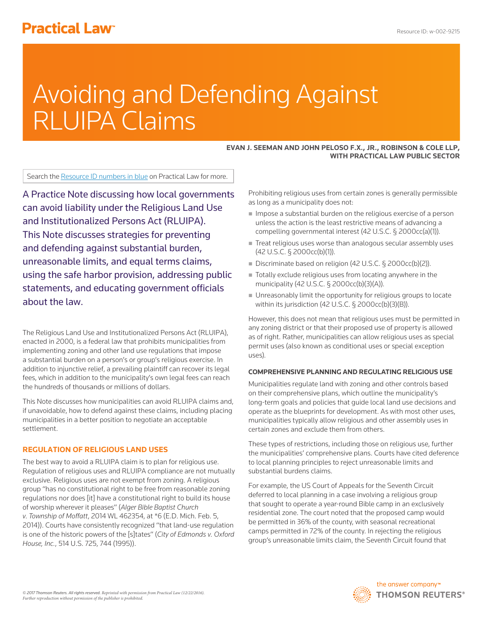# **Practical Law<sup>®</sup>**

# Avoiding and Defending Against RLUIPA Claims

#### **EVAN J. SEEMAN AND JOHN PELOSO F.X., JR., ROBINSON & COLE LLP, WITH PRACTICAL LAW PUBLIC SECTOR**

Search the Resource ID numbers in blue on Practical Law for more.

A Practice Note discussing how local governments can avoid liability under the Religious Land Use and Institutionalized Persons Act (RLUIPA). This Note discusses strategies for preventing and defending against substantial burden, unreasonable limits, and equal terms claims, using the safe harbor provision, addressing public statements, and educating government officials about the law.

The Religious Land Use and Institutionalized Persons Act (RLUIPA), enacted in 2000, is a federal law that prohibits municipalities from implementing zoning and other land use regulations that impose a substantial burden on a person's or group's religious exercise. In addition to injunctive relief, a prevailing plaintiff can recover its legal fees, which in addition to the municipality's own legal fees can reach the hundreds of thousands or millions of dollars.

This Note discusses how municipalities can avoid RLUIPA claims and, if unavoidable, how to defend against these claims, including placing municipalities in a better position to negotiate an acceptable settlement.

# **REGULATION OF RELIGIOUS LAND USES**

The best way to avoid a RLUIPA claim is to plan for religious use. Regulation of religious uses and RLUIPA compliance are not mutually exclusive. Religious uses are not exempt from zoning. A religious group "has no constitutional right to be free from reasonable zoning regulations nor does [it] have a constitutional right to build its house of worship wherever it pleases" (*Alger Bible Baptist Church v. Township of Moffatt*, 2014 WL 462354, at \*6 (E.D. Mich. Feb. 5, 2014)). Courts have consistently recognized "that land-use regulation is one of the historic powers of the [s]tates" (*City of Edmonds v. Oxford House, Inc.*, 514 U.S. 725, 744 (1995)).

Prohibiting religious uses from certain zones is generally permissible as long as a municipality does not:

- $\blacksquare$  Impose a substantial burden on the religious exercise of a person unless the action is the least restrictive means of advancing a compelling governmental interest (42 U.S.C. § 2000cc(a)(1)).
- Treat religious uses worse than analogous secular assembly uses (42 U.S.C. § 2000cc(b)(1)).
- Discriminate based on religion (42 U.S.C. § 2000cc(b)(2)).
- Totally exclude religious uses from locating anywhere in the municipality (42 U.S.C. § 2000cc(b)(3)(A)).
- Unreasonably limit the opportunity for religious groups to locate within its jurisdiction (42 U.S.C. § 2000cc(b)(3)(B)).

However, this does not mean that religious uses must be permitted in any zoning district or that their proposed use of property is allowed as of right. Rather, municipalities can allow religious uses as special permit uses (also known as conditional uses or special exception uses).

# **COMPREHENSIVE PLANNING AND REGULATING RELIGIOUS USE**

Municipalities regulate land with zoning and other controls based on their comprehensive plans, which outline the municipality's long-term goals and policies that guide local land use decisions and operate as the blueprints for development. As with most other uses, municipalities typically allow religious and other assembly uses in certain zones and exclude them from others.

These types of restrictions, including those on religious use, further the municipalities' comprehensive plans. Courts have cited deference to local planning principles to reject unreasonable limits and substantial burdens claims.

For example, the US Court of Appeals for the Seventh Circuit deferred to local planning in a case involving a religious group that sought to operate a year-round Bible camp in an exclusively residential zone. The court noted that the proposed camp would be permitted in 36% of the county, with seasonal recreational camps permitted in 72% of the county. In rejecting the religious group's unreasonable limits claim, the Seventh Circuit found that

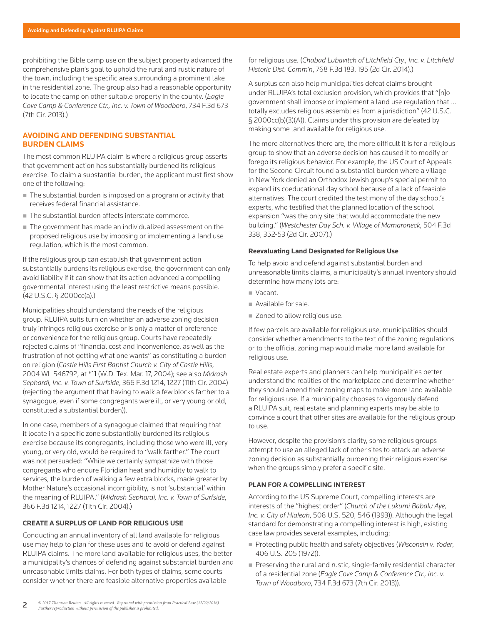prohibiting the Bible camp use on the subject property advanced the comprehensive plan's goal to uphold the rural and rustic nature of the town, including the specific area surrounding a prominent lake in the residential zone. The group also had a reasonable opportunity to locate the camp on other suitable property in the county. (*Eagle Cove Camp & Conference Ctr., Inc. v. Town of Woodboro*, 734 F.3d 673 (7th Cir. 2013).)

### **AVOIDING AND DEFENDING SUBSTANTIAL BURDEN CLAIMS**

The most common RLUIPA claim is where a religious group asserts that government action has substantially burdened its religious exercise. To claim a substantial burden, the applicant must first show one of the following:

- The substantial burden is imposed on a program or activity that receives federal financial assistance.
- The substantial burden affects interstate commerce.
- The government has made an individualized assessment on the proposed religious use by imposing or implementing a land use regulation, which is the most common.

If the religious group can establish that government action substantially burdens its religious exercise, the government can only avoid liability if it can show that its action advanced a compelling governmental interest using the least restrictive means possible. (42 U.S.C. § 2000cc(a).)

Municipalities should understand the needs of the religious group. RLUIPA suits turn on whether an adverse zoning decision truly infringes religious exercise or is only a matter of preference or convenience for the religious group. Courts have repeatedly rejected claims of "financial cost and inconvenience, as well as the frustration of not getting what one wants" as constituting a burden on religion (*Castle Hills First Baptist Church v. City of Castle Hills*, 2004 WL 546792, at \*11 (W.D. Tex. Mar. 17, 2004); see also *Midrash Sephardi, Inc. v. Town of Surfside*, 366 F.3d 1214, 1227 (11th Cir. 2004) (rejecting the argument that having to walk a few blocks farther to a synagogue, even if some congregants were ill, or very young or old, constituted a substantial burden)).

In one case, members of a synagogue claimed that requiring that it locate in a specific zone substantially burdened its religious exercise because its congregants, including those who were ill, very young, or very old, would be required to "walk farther." The court was not persuaded: "While we certainly sympathize with those congregants who endure Floridian heat and humidity to walk to services, the burden of walking a few extra blocks, made greater by Mother Nature's occasional incorrigibility, is not 'substantial' within the meaning of RLUIPA." (*Midrash Sephardi, Inc. v. Town of Surfside*, 366 F.3d 1214, 1227 (11th Cir. 2004).)

#### **CREATE A SURPLUS OF LAND FOR RELIGIOUS USE**

Conducting an annual inventory of all land available for religious use may help to plan for these uses and to avoid or defend against RLUIPA claims. The more land available for religious uses, the better a municipality's chances of defending against substantial burden and unreasonable limits claims. For both types of claims, some courts consider whether there are feasible alternative properties available

for religious use. (*Chabad Lubavitch of Litchfield Cty., Inc. v. Litchfield Historic Dist. Comm'n*, 768 F.3d 183, 195 (2d Cir. 2014).)

A surplus can also help municipalities defeat claims brought under RLUIPA's total exclusion provision, which provides that "[n]o government shall impose or implement a land use regulation that … totally excludes religious assemblies from a jurisdiction" (42 U.S.C. § 2000cc(b)(3)(A)). Claims under this provision are defeated by making some land available for religious use.

The more alternatives there are, the more difficult it is for a religious group to show that an adverse decision has caused it to modify or forego its religious behavior. For example, the US Court of Appeals for the Second Circuit found a substantial burden where a village in New York denied an Orthodox Jewish group's special permit to expand its coeducational day school because of a lack of feasible alternatives. The court credited the testimony of the day school's experts, who testified that the planned location of the school expansion "was the only site that would accommodate the new building." (*Westchester Day Sch. v. Village of Mamaroneck*, 504 F.3d 338, 352-53 (2d Cir. 2007).)

#### **Reevaluating Land Designated for Religious Use**

To help avoid and defend against substantial burden and unreasonable limits claims, a municipality's annual inventory should determine how many lots are:

- Vacant.
- Available for sale.
- Zoned to allow religious use.

If few parcels are available for religious use, municipalities should consider whether amendments to the text of the zoning regulations or to the official zoning map would make more land available for religious use.

Real estate experts and planners can help municipalities better understand the realities of the marketplace and determine whether they should amend their zoning maps to make more land available for religious use. If a municipality chooses to vigorously defend a RLUIPA suit, real estate and planning experts may be able to convince a court that other sites are available for the religious group to use.

However, despite the provision's clarity, some religious groups attempt to use an alleged lack of other sites to attack an adverse zoning decision as substantially burdening their religious exercise when the groups simply prefer a specific site.

#### **PLAN FOR A COMPELLING INTEREST**

According to the US Supreme Court, compelling interests are interests of the "highest order" (*Church of the Lukumi Babalu Aye, Inc. v. City of Hialeah*, 508 U.S. 520, 546 (1993)). Although the legal standard for demonstrating a compelling interest is high, existing case law provides several examples, including:

- Protecting public health and safety objectives (*Wisconsin v. Yoder*, 406 U.S. 205 (1972)).
- Preserving the rural and rustic, single-family residential character of a residential zone (*Eagle Cove Camp & Conference Ctr., Inc. v. Town of Woodboro*, 734 F.3d 673 (7th Cir. 2013)).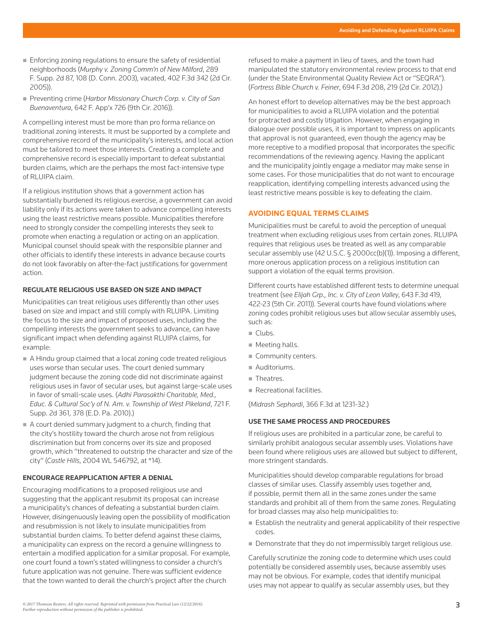- Enforcing zoning regulations to ensure the safety of residential neighborhoods (*Murphy v. Zoning Comm'n of New Milford*, 289 F. Supp. 2d 87, 108 (D. Conn. 2003), vacated, 402 F.3d 342 (2d Cir. 2005)).
- Preventing crime (*Harbor Missionary Church Corp. v. City of San Buenaventura*, 642 F. App'x 726 (9th Cir. 2016)).

A compelling interest must be more than pro forma reliance on traditional zoning interests. It must be supported by a complete and comprehensive record of the municipality's interests, and local action must be tailored to meet those interests. Creating a complete and comprehensive record is especially important to defeat substantial burden claims, which are the perhaps the most fact-intensive type of RLUIPA claim.

If a religious institution shows that a government action has substantially burdened its religious exercise, a government can avoid liability only if its actions were taken to advance compelling interests using the least restrictive means possible. Municipalities therefore need to strongly consider the compelling interests they seek to promote when enacting a regulation or acting on an application. Municipal counsel should speak with the responsible planner and other officials to identify these interests in advance because courts do not look favorably on after-the-fact justifications for government action.

#### **REGULATE RELIGIOUS USE BASED ON SIZE AND IMPACT**

Municipalities can treat religious uses differently than other uses based on size and impact and still comply with RLUIPA. Limiting the focus to the size and impact of proposed uses, including the compelling interests the government seeks to advance, can have significant impact when defending against RLUIPA claims, for example:

- A Hindu group claimed that a local zoning code treated religious uses worse than secular uses. The court denied summary judgment because the zoning code did not discriminate against religious uses in favor of secular uses, but against large-scale uses in favor of small-scale uses. (*Adhi Parasakthi Charitable, Med., Educ. & Cultural Soc'y of N. Am. v. Township of West Pikeland*, 721 F. Supp. 2d 361, 378 (E.D. Pa. 2010).)
- A court denied summary judgment to a church, finding that the city's hostility toward the church arose not from religious discrimination but from concerns over its size and proposed growth, which "threatened to outstrip the character and size of the city" (*Castle Hills*, 2004 WL 546792, at \*14).

# **ENCOURAGE REAPPLICATION AFTER A DENIAL**

Encouraging modifications to a proposed religious use and suggesting that the applicant resubmit its proposal can increase a municipality's chances of defeating a substantial burden claim. However, disingenuously leaving open the possibility of modification and resubmission is not likely to insulate municipalities from substantial burden claims. To better defend against these claims, a municipality can express on the record a genuine willingness to entertain a modified application for a similar proposal. For example, one court found a town's stated willingness to consider a church's future application was not genuine. There was sufficient evidence that the town wanted to derail the church's project after the church

refused to make a payment in lieu of taxes, and the town had manipulated the statutory environmental review process to that end (under the State Environmental Quality Review Act or "SEQRA"). (*Fortress Bible Church v. Feiner*, 694 F.3d 208, 219 (2d Cir. 2012).)

An honest effort to develop alternatives may be the best approach for municipalities to avoid a RLUIPA violation and the potential for protracted and costly litigation. However, when engaging in dialogue over possible uses, it is important to impress on applicants that approval is not guaranteed, even though the agency may be more receptive to a modified proposal that incorporates the specific recommendations of the reviewing agency. Having the applicant and the municipality jointly engage a mediator may make sense in some cases. For those municipalities that do not want to encourage reapplication, identifying compelling interests advanced using the least restrictive means possible is key to defeating the claim.

#### **AVOIDING EQUAL TERMS CLAIMS**

Municipalities must be careful to avoid the perception of unequal treatment when excluding religious uses from certain zones. RLUIPA requires that religious uses be treated as well as any comparable secular assembly use (42 U.S.C. § 2000cc(b)(1)). Imposing a different, more onerous application process on a religious institution can support a violation of the equal terms provision.

Different courts have established different tests to determine unequal treatment (see *Elijah Grp., Inc. v. City of Leon Valley*, 643 F.3d 419, 422-23 (5th Cir. 2011)). Several courts have found violations where zoning codes prohibit religious uses but allow secular assembly uses, such as:

- $\blacksquare$  Clubs.
- **Meeting halls.**
- Community centers.
- Auditoriums.
- Theatres.
- Recreational facilities.

(*Midrash Sephardi*, 366 F.3d at 1231-32.)

### **USE THE SAME PROCESS AND PROCEDURES**

If religious uses are prohibited in a particular zone, be careful to similarly prohibit analogous secular assembly uses. Violations have been found where religious uses are allowed but subject to different, more stringent standards.

Municipalities should develop comparable regulations for broad classes of similar uses. Classify assembly uses together and, if possible, permit them all in the same zones under the same standards and prohibit all of them from the same zones. Regulating for broad classes may also help municipalities to:

- $\blacksquare$  Establish the neutrality and general applicability of their respective codes.
- Demonstrate that they do not impermissibly target religious use.

Carefully scrutinize the zoning code to determine which uses could potentially be considered assembly uses, because assembly uses may not be obvious. For example, codes that identify municipal uses may not appear to qualify as secular assembly uses, but they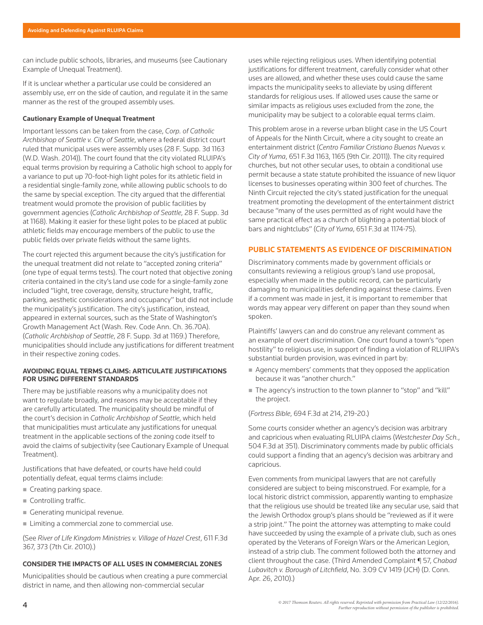can include public schools, libraries, and museums (see Cautionary Example of Unequal Treatment).

If it is unclear whether a particular use could be considered an assembly use, err on the side of caution, and regulate it in the same manner as the rest of the grouped assembly uses.

#### **Cautionary Example of Unequal Treatment**

Important lessons can be taken from the case, *Corp. of Catholic Archbishop of Seattle v. City of Seattle*, where a federal district court ruled that municipal uses were assembly uses (28 F. Supp. 3d 1163 (W.D. Wash. 2014)). The court found that the city violated RLUIPA's equal terms provision by requiring a Catholic high school to apply for a variance to put up 70-foot-high light poles for its athletic field in a residential single-family zone, while allowing public schools to do the same by special exception. The city argued that the differential treatment would promote the provision of public facilities by government agencies (*Catholic Archbishop of Seattle*, 28 F. Supp. 3d at 1168). Making it easier for these light poles to be placed at public athletic fields may encourage members of the public to use the public fields over private fields without the same lights.

The court rejected this argument because the city's justification for the unequal treatment did not relate to "accepted zoning criteria" (one type of equal terms tests). The court noted that objective zoning criteria contained in the city's land use code for a single-family zone included "light, tree coverage, density, structure height, traffic, parking, aesthetic considerations and occupancy" but did not include the municipality's justification. The city's justification, instead, appeared in external sources, such as the State of Washington's Growth Management Act (Wash. Rev. Code Ann. Ch. 36.70A). (*Catholic Archbishop of Seattle*, 28 F. Supp. 3d at 1169.) Therefore, municipalities should include any justifications for different treatment in their respective zoning codes.

#### **AVOIDING EQUAL TERMS CLAIMS: ARTICULATE JUSTIFICATIONS FOR USING DIFFERENT STANDARDS**

There may be justifiable reasons why a municipality does not want to regulate broadly, and reasons may be acceptable if they are carefully articulated. The municipality should be mindful of the court's decision in *Catholic Archbishop of Seattle*, which held that municipalities must articulate any justifications for unequal treatment in the applicable sections of the zoning code itself to avoid the claims of subjectivity (see Cautionary Example of Unequal Treatment).

Justifications that have defeated, or courts have held could potentially defeat, equal terms claims include:

- Creating parking space.
- Controlling traffic.
- Generating municipal revenue.
- Limiting a commercial zone to commercial use.

(See *River of Life Kingdom Ministries v. Village of Hazel Crest*, 611 F.3d 367, 373 (7th Cir. 2010).)

#### **CONSIDER THE IMPACTS OF ALL USES IN COMMERCIAL ZONES**

Municipalities should be cautious when creating a pure commercial district in name, and then allowing non-commercial secular

uses while rejecting religious uses. When identifying potential justifications for different treatment, carefully consider what other uses are allowed, and whether these uses could cause the same impacts the municipality seeks to alleviate by using different standards for religious uses. If allowed uses cause the same or similar impacts as religious uses excluded from the zone, the municipality may be subject to a colorable equal terms claim.

This problem arose in a reverse urban blight case in the US Court of Appeals for the Ninth Circuit, where a city sought to create an entertainment district (*Centro Familiar Cristiano Buenas Nuevas v. City of Yuma*, 651 F.3d 1163, 1165 (9th Cir. 2011)). The city required churches, but not other secular uses, to obtain a conditional use permit because a state statute prohibited the issuance of new liquor licenses to businesses operating within 300 feet of churches. The Ninth Circuit rejected the city's stated justification for the unequal treatment promoting the development of the entertainment district because "many of the uses permitted as of right would have the same practical effect as a church of blighting a potential block of bars and nightclubs" (*City of Yuma*, 651 F.3d at 1174-75).

#### **PUBLIC STATEMENTS AS EVIDENCE OF DISCRIMINATION**

Discriminatory comments made by government officials or consultants reviewing a religious group's land use proposal, especially when made in the public record, can be particularly damaging to municipalities defending against these claims. Even if a comment was made in jest, it is important to remember that words may appear very different on paper than they sound when spoken.

Plaintiffs' lawyers can and do construe any relevant comment as an example of overt discrimination. One court found a town's "open hostility" to religious use, in support of finding a violation of RLUIPA's substantial burden provision, was evinced in part by:

- Agency members' comments that they opposed the application because it was "another church."
- The agency's instruction to the town planner to "stop" and "kill" the project.

#### (*Fortress Bible*, 694 F.3d at 214, 219-20.)

Some courts consider whether an agency's decision was arbitrary and capricious when evaluating RLUIPA claims (*Westchester Day Sch.*, 504 F.3d at 351). Discriminatory comments made by public officials could support a finding that an agency's decision was arbitrary and capricious.

Even comments from municipal lawyers that are not carefully considered are subject to being misconstrued. For example, for a local historic district commission, apparently wanting to emphasize that the religious use should be treated like any secular use, said that the Jewish Orthodox group's plans should be "reviewed as if it were a strip joint." The point the attorney was attempting to make could have succeeded by using the example of a private club, such as ones operated by the Veterans of Foreign Wars or the American Legion, instead of a strip club. The comment followed both the attorney and client throughout the case. (Third Amended Complaint ¶ 57, *Chabad Lubavitch v. Borough of Litchfield*, No. 3:09 CV 1419 (JCH) (D. Conn. Apr. 26, 2010).)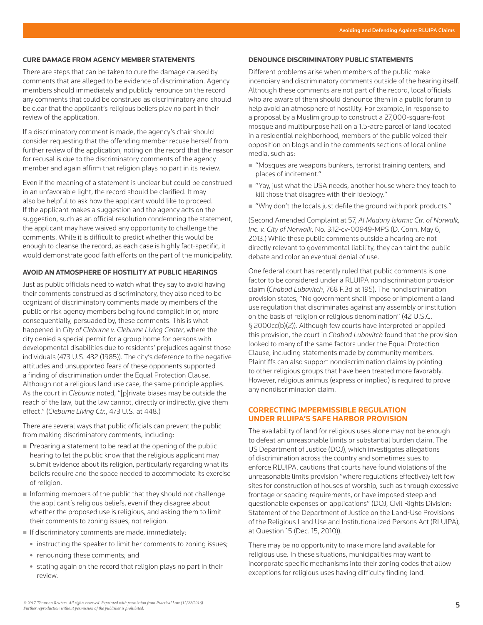#### **CURE DAMAGE FROM AGENCY MEMBER STATEMENTS**

There are steps that can be taken to cure the damage caused by comments that are alleged to be evidence of discrimination. Agency members should immediately and publicly renounce on the record any comments that could be construed as discriminatory and should be clear that the applicant's religious beliefs play no part in their review of the application.

If a discriminatory comment is made, the agency's chair should consider requesting that the offending member recuse herself from further review of the application, noting on the record that the reason for recusal is due to the discriminatory comments of the agency member and again affirm that religion plays no part in its review.

Even if the meaning of a statement is unclear but could be construed in an unfavorable light, the record should be clarified. It may also be helpful to ask how the applicant would like to proceed. If the applicant makes a suggestion and the agency acts on the suggestion, such as an official resolution condemning the statement, the applicant may have waived any opportunity to challenge the comments. While it is difficult to predict whether this would be enough to cleanse the record, as each case is highly fact-specific, it would demonstrate good faith efforts on the part of the municipality.

#### **AVOID AN ATMOSPHERE OF HOSTILITY AT PUBLIC HEARINGS**

Just as public officials need to watch what they say to avoid having their comments construed as discriminatory, they also need to be cognizant of discriminatory comments made by members of the public or risk agency members being found complicit in or, more consequentially, persuaded by, these comments. This is what happened in *City of Cleburne v. Cleburne Living Center*, where the city denied a special permit for a group home for persons with developmental disabilities due to residents' prejudices against those individuals (473 U.S. 432 (1985)). The city's deference to the negative attitudes and unsupported fears of these opponents supported a finding of discrimination under the Equal Protection Clause. Although not a religious land use case, the same principle applies. As the court in *Cleburne* noted, "[p]rivate biases may be outside the reach of the law, but the law cannot, directly or indirectly, give them effect." (*Cleburne Living Ctr.*, 473 U.S. at 448.)

There are several ways that public officials can prevent the public from making discriminatory comments, including:

- Preparing a statement to be read at the opening of the public hearing to let the public know that the religious applicant may submit evidence about its religion, particularly regarding what its beliefs require and the space needed to accommodate its exercise of religion.
- $\blacksquare$  Informing members of the public that they should not challenge the applicant's religious beliefs, even if they disagree about whether the proposed use is religious, and asking them to limit their comments to zoning issues, not religion.
- If discriminatory comments are made, immediately:
- instructing the speaker to limit her comments to zoning issues;
- renouncing these comments; and
- stating again on the record that religion plays no part in their review.

#### **DENOUNCE DISCRIMINATORY PUBLIC STATEMENTS**

Different problems arise when members of the public make incendiary and discriminatory comments outside of the hearing itself. Although these comments are not part of the record, local officials who are aware of them should denounce them in a public forum to help avoid an atmosphere of hostility. For example, in response to a proposal by a Muslim group to construct a 27,000-square-foot mosque and multipurpose hall on a 1.5-acre parcel of land located in a residential neighborhood, members of the public voiced their opposition on blogs and in the comments sections of local online media, such as:

- "Mosques are weapons bunkers, terrorist training centers, and places of incitement."
- "Yay, just what the USA needs, another house where they teach to kill those that disagree with their ideology."
- "Why don't the locals just defile the ground with pork products."

(Second Amended Complaint at 57, *Al Madany Islamic Ctr. of Norwalk, Inc. v. City of Norwalk*, No. 3:12-cv-00949-MPS (D. Conn. May 6, 2013.) While these public comments outside a hearing are not directly relevant to governmental liability, they can taint the public debate and color an eventual denial of use.

One federal court has recently ruled that public comments is one factor to be considered under a RLUIPA nondiscrimination provision claim (*Chabad Lubavitch*, 768 F.3d at 195). The nondiscrimination provision states, "No government shall impose or implement a land use regulation that discriminates against any assembly or institution on the basis of religion or religious denomination" (42 U.S.C. § 2000cc(b)(2)). Although few courts have interpreted or applied this provision, the court in *Chabad Lubavitch* found that the provision looked to many of the same factors under the Equal Protection Clause, including statements made by community members. Plaintiffs can also support nondiscrimination claims by pointing to other religious groups that have been treated more favorably. However, religious animus (express or implied) is required to prove any nondiscrimination claim.

# **CORRECTING IMPERMISSIBLE REGULATION UNDER RLUIPA'S SAFE HARBOR PROVISION**

The availability of land for religious uses alone may not be enough to defeat an unreasonable limits or substantial burden claim. The US Department of Justice (DOJ), which investigates allegations of discrimination across the country and sometimes sues to enforce RLUIPA, cautions that courts have found violations of the unreasonable limits provision "where regulations effectively left few sites for construction of houses of worship, such as through excessive frontage or spacing requirements, or have imposed steep and questionable expenses on applications" (DOJ, Civil Rights Division: Statement of the Department of Justice on the Land-Use Provisions of the Religious Land Use and Institutionalized Persons Act (RLUIPA), at Question 15 (Dec. 15, 2010)).

There may be no opportunity to make more land available for religious use. In these situations, municipalities may want to incorporate specific mechanisms into their zoning codes that allow exceptions for religious uses having difficulty finding land.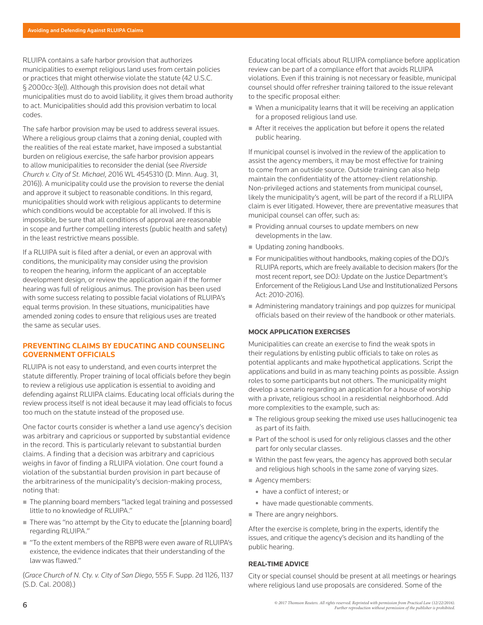RLUIPA contains a safe harbor provision that authorizes municipalities to exempt religious land uses from certain policies or practices that might otherwise violate the statute (42 U.S.C. § 2000cc-3(e)). Although this provision does not detail what municipalities must do to avoid liability, it gives them broad authority to act. Municipalities should add this provision verbatim to local codes.

The safe harbor provision may be used to address several issues. Where a religious group claims that a zoning denial, coupled with the realities of the real estate market, have imposed a substantial burden on religious exercise, the safe harbor provision appears to allow municipalities to reconsider the denial (see *Riverside Church v. City of St. Michael*, 2016 WL 4545310 (D. Minn. Aug. 31, 2016)). A municipality could use the provision to reverse the denial and approve it subject to reasonable conditions. In this regard, municipalities should work with religious applicants to determine which conditions would be acceptable for all involved. If this is impossible, be sure that all conditions of approval are reasonable in scope and further compelling interests (public health and safety) in the least restrictive means possible.

If a RLUIPA suit is filed after a denial, or even an approval with conditions, the municipality may consider using the provision to reopen the hearing, inform the applicant of an acceptable development design, or review the application again if the former hearing was full of religious animus. The provision has been used with some success relating to possible facial violations of RLUIPA's equal terms provision. In these situations, municipalities have amended zoning codes to ensure that religious uses are treated the same as secular uses.

#### **PREVENTING CLAIMS BY EDUCATING AND COUNSELING GOVERNMENT OFFICIALS**

RLUIPA is not easy to understand, and even courts interpret the statute differently. Proper training of local officials before they begin to review a religious use application is essential to avoiding and defending against RLUIPA claims. Educating local officials during the review process itself is not ideal because it may lead officials to focus too much on the statute instead of the proposed use.

One factor courts consider is whether a land use agency's decision was arbitrary and capricious or supported by substantial evidence in the record. This is particularly relevant to substantial burden claims. A finding that a decision was arbitrary and capricious weighs in favor of finding a RLUIPA violation. One court found a violation of the substantial burden provision in part because of the arbitrariness of the municipality's decision-making process, noting that:

- The planning board members "lacked legal training and possessed little to no knowledge of RLUIPA."
- $\blacksquare$  There was "no attempt by the City to educate the [planning board] regarding RLUIPA."
- "To the extent members of the RBPB were even aware of RLUIPA's existence, the evidence indicates that their understanding of the law was flawed."

(*Grace Church of N. Cty. v. City of San Diego*, 555 F. Supp. 2d 1126, 1137 (S.D. Cal. 2008).)

Educating local officials about RLUIPA compliance before application review can be part of a compliance effort that avoids RLUIPA violations. Even if this training is not necessary or feasible, municipal counsel should offer refresher training tailored to the issue relevant to the specific proposal either:

- When a municipality learns that it will be receiving an application for a proposed religious land use.
- After it receives the application but before it opens the related public hearing.

If municipal counsel is involved in the review of the application to assist the agency members, it may be most effective for training to come from an outside source. Outside training can also help maintain the confidentiality of the attorney-client relationship. Non-privileged actions and statements from municipal counsel, likely the municipality's agent, will be part of the record if a RLUIPA claim is ever litigated. However, there are preventative measures that municipal counsel can offer, such as:

- Providing annual courses to update members on new developments in the law.
- Updating zoning handbooks.
- For municipalities without handbooks, making copies of the DOJ's RLUIPA reports, which are freely available to decision makers (for the most recent report, see DOJ: Update on the Justice Department's Enforcement of the Religious Land Use and Institutionalized Persons Act: 2010-2016).
- Administering mandatory trainings and pop quizzes for municipal officials based on their review of the handbook or other materials.

#### **MOCK APPLICATION EXERCISES**

Municipalities can create an exercise to find the weak spots in their regulations by enlisting public officials to take on roles as potential applicants and make hypothetical applications. Script the applications and build in as many teaching points as possible. Assign roles to some participants but not others. The municipality might develop a scenario regarding an application for a house of worship with a private, religious school in a residential neighborhood. Add more complexities to the example, such as:

- The religious group seeking the mixed use uses hallucinogenic tea as part of its faith.
- Part of the school is used for only religious classes and the other part for only secular classes.
- Within the past few years, the agency has approved both secular and religious high schools in the same zone of varying sizes.
- Agency members:
	- have a conflict of interest; or
	- have made questionable comments.
- There are angry neighbors.

After the exercise is complete, bring in the experts, identify the issues, and critique the agency's decision and its handling of the public hearing.

#### **REAL-TIME ADVICE**

City or special counsel should be present at all meetings or hearings where religious land use proposals are considered. Some of the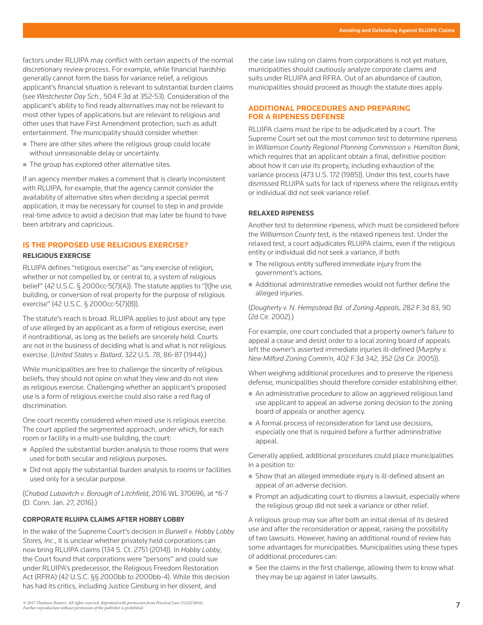factors under RLUIPA may conflict with certain aspects of the normal discretionary review process. For example, while financial hardship generally cannot form the basis for variance relief, a religious applicant's financial situation is relevant to substantial burden claims (see *Westchester Day Sch.*, 504 F.3d at 352-53). Consideration of the applicant's ability to find ready alternatives may not be relevant to most other types of applications but are relevant to religious and other uses that have First Amendment protection, such as adult entertainment. The municipality should consider whether:

- There are other sites where the religious group could locate without unreasonable delay or uncertainty.
- The group has explored other alternative sites.

If an agency member makes a comment that is clearly inconsistent with RLUIPA, for example, that the agency cannot consider the availability of alternative sites when deciding a special permit application, it may be necessary for counsel to step in and provide real-time advice to avoid a decision that may later be found to have been arbitrary and capricious.

# **IS THE PROPOSED USE RELIGIOUS EXERCISE?**

# **RELIGIOUS EXERCISE**

RLUIPA defines "religious exercise" as "any exercise of religion, whether or not compelled by, or central to, a system of religious belief" (42 U.S.C. § 2000cc-5(7)(A)). The statute applies to "[t]he use, building, or conversion of real property for the purpose of religious exercise" (42 U.S.C. § 2000cc-5(7)(B)).

The statute's reach is broad. RLUIPA applies to just about any type of use alleged by an applicant as a form of religious exercise, even if nontraditional, as long as the beliefs are sincerely held. Courts are not in the business of deciding what is and what is not religious exercise. (*United States v. Ballard*, 322 U.S. 78, 86-87 (1944).)

While municipalities are free to challenge the sincerity of religious beliefs, they should not opine on what they view and do not view as religious exercise. Challenging whether an applicant's proposed use is a form of religious exercise could also raise a red flag of discrimination.

One court recently considered when mixed use is religious exercise. The court applied the segmented approach, under which, for each room or facility in a multi-use building, the court:

- Applied the substantial burden analysis to those rooms that were used for both secular and religious purposes.
- Did not apply the substantial burden analysis to rooms or facilities used only for a secular purpose.

(*Chabad Lubavitch v. Borough of Litchfield*, 2016 WL 370696, at \*6-7 (D. Conn. Jan. 27, 2016).)

#### **CORPORATE RLUIPA CLAIMS AFTER HOBBY LOBBY**

In the wake of the Supreme Court's decision in *Burwell v. Hobby Lobby Stores, Inc.*, it is unclear whether privately held corporations can now bring RLUIPA claims (134 S. Ct. 2751 (2014)). In *Hobby Lobby*, the Court found that corporations were "persons" and could sue under RLUIPA's predecessor, the Religious Freedom Restoration Act (RFRA) (42 U.S.C. §§ 2000bb to 2000bb-4). While this decision has had its critics, including Justice Ginsburg in her dissent, and

the case law ruling on claims from corporations is not yet mature, municipalities should cautiously analyze corporate claims and suits under RLUIPA and RFRA. Out of an abundance of caution, municipalities should proceed as though the statute does apply.

# **ADDITIONAL PROCEDURES AND PREPARING FOR A RIPENESS DEFENSE**

RLUIPA claims must be ripe to be adjudicated by a court. The Supreme Court set out the most common test to determine ripeness in *Williamson County Regional Planning Commission v. Hamilton Bank*, which requires that an applicant obtain a final, definitive position about how it can use its property, including exhaustion of the variance process (473 U.S. 172 (1985)). Under this test, courts have dismissed RLUIPA suits for lack of ripeness where the religious entity or individual did not seek variance relief.

# **RELAXED RIPENESS**

Another test to determine ripeness, which must be considered before the *Williamson County* test, is the relaxed ripeness test. Under the relaxed test, a court adjudicates RLUIPA claims, even if the religious entity or individual did not seek a variance, if both:

- The religious entity suffered immediate injury from the government's actions.
- Additional administrative remedies would not further define the alleged injuries.

(*Dougherty v. N. Hempstead Bd. of Zoning Appeals*, 282 F.3d 83, 90 (2d Cir. 2002).)

For example, one court concluded that a property owner's failure to appeal a cease and desist order to a local zoning board of appeals left the owner's asserted immediate injuries ill-defined (*Murphy v. New Milford Zoning Comm'n*, 402 F.3d 342, 352 (2d Cir. 2005)).

When weighing additional procedures and to preserve the ripeness defense, municipalities should therefore consider establishing either:

- An administrative procedure to allow an aggrieved religious land use applicant to appeal an adverse zoning decision to the zoning board of appeals or another agency.
- $\blacksquare$  A formal process of reconsideration for land use decisions, especially one that is required before a further administrative appeal.

Generally applied, additional procedures could place municipalities in a position to:

- Show that an alleged immediate injury is ill-defined absent an appeal of an adverse decision.
- Prompt an adjudicating court to dismiss a lawsuit, especially where the religious group did not seek a variance or other relief.

A religious group may sue after both an initial denial of its desired use and after the reconsideration or appeal, raising the possibility of two lawsuits. However, having an additional round of review has some advantages for municipalities. Municipalities using these types of additional procedures can:

■ See the claims in the first challenge, allowing them to know what they may be up against in later lawsuits.